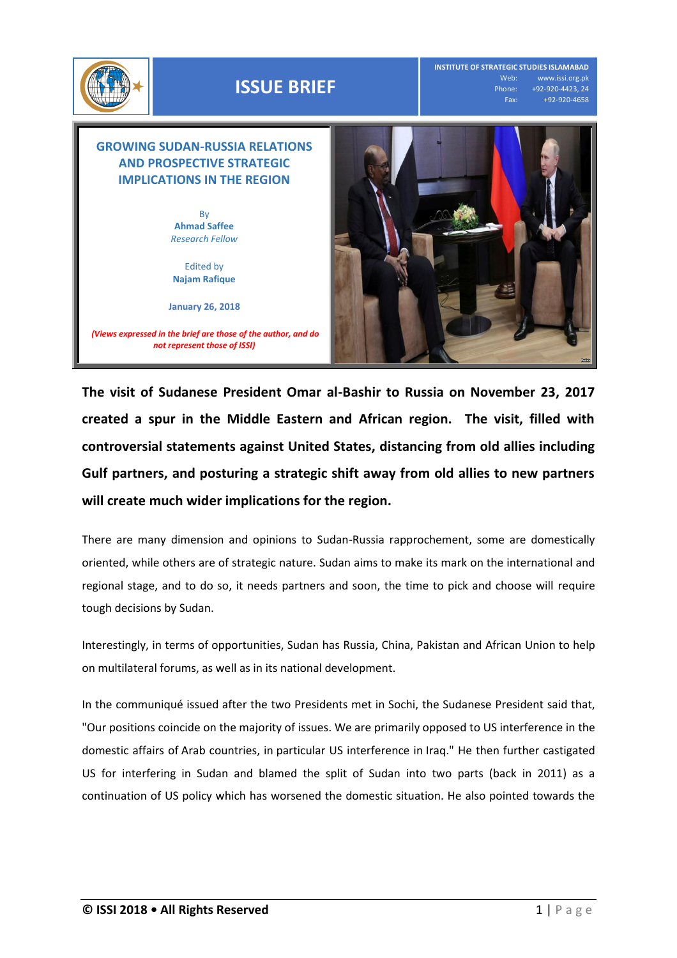

## **ISSUE BRIEF**

**INSTITUTE OF STRATEGIC STUDIES ISLAMABAD** Web: www.issi.org.pk Phone: +92-920-4423, 24 Fax: +92-920-4658

## **GROWING SUDAN-RUSSIA RELATIONS AND PROSPECTIVE STRATEGIC IMPLICATIONS IN THE REGION** By

**Ahmad Saffee** *Research Fellow* 

Edited by **Najam Rafique**

**January 26, 2018**

*(Views expressed in the brief are those of the author, and do not represent those of ISSI)*



**The visit of Sudanese President Omar al-Bashir to Russia on November 23, 2017 created a spur in the Middle Eastern and African region. The visit, filled with controversial statements against United States, distancing from old allies including Gulf partners, and posturing a strategic shift away from old allies to new partners will create much wider implications for the region.** 

There are many dimension and opinions to Sudan-Russia rapprochement, some are domestically oriented, while others are of strategic nature. Sudan aims to make its mark on the international and regional stage, and to do so, it needs partners and soon, the time to pick and choose will require tough decisions by Sudan.

Interestingly, in terms of opportunities, Sudan has Russia, China, Pakistan and African Union to help on multilateral forums, as well as in its national development.

In the communiqué issued after the two Presidents met in Sochi, the Sudanese President said that, "Our positions coincide on the majority of issues. We are primarily opposed to US interference in the domestic affairs of Arab countries, in particular US interference in Iraq." He then further castigated US for interfering in Sudan and blamed the split of Sudan into two parts (back in 2011) as a continuation of US policy which has worsened the domestic situation. He also pointed towards the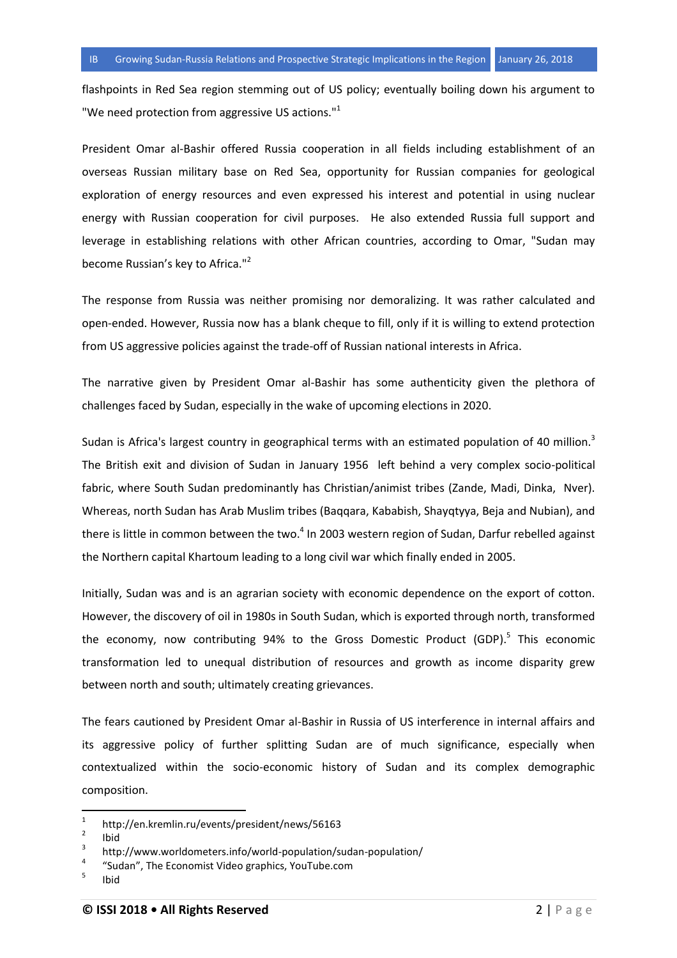flashpoints in Red Sea region stemming out of US policy; eventually boiling down his argument to "We need protection from aggressive US actions."<sup>1</sup>

President Omar al-Bashir offered Russia cooperation in all fields including establishment of an overseas Russian military base on Red Sea, opportunity for Russian companies for geological exploration of energy resources and even expressed his interest and potential in using nuclear energy with Russian cooperation for civil purposes. He also extended Russia full support and leverage in establishing relations with other African countries, according to Omar, "Sudan may become Russian's key to Africa."<sup>2</sup>

The response from Russia was neither promising nor demoralizing. It was rather calculated and open-ended. However, Russia now has a blank cheque to fill, only if it is willing to extend protection from US aggressive policies against the trade-off of Russian national interests in Africa.

The narrative given by President Omar al-Bashir has some authenticity given the plethora of challenges faced by Sudan, especially in the wake of upcoming elections in 2020.

Sudan is Africa's largest country in geographical terms with an estimated population of 40 million.<sup>3</sup> The British exit and division of Sudan in January 1956 left behind a very complex socio-political fabric, where South Sudan predominantly has Christian/animist tribes (Zande, Madi, Dinka, Nver). Whereas, north Sudan has Arab Muslim tribes (Baqqara, Kababish, Shayqtyya, Beja and Nubian), and there is little in common between the two. $^4$  In 2003 western region of Sudan, Darfur rebelled against the Northern capital Khartoum leading to a long civil war which finally ended in 2005.

Initially, Sudan was and is an agrarian society with economic dependence on the export of cotton. However, the discovery of oil in 1980s in South Sudan, which is exported through north, transformed the economy, now contributing 94% to the Gross Domestic Product (GDP).<sup>5</sup> This economic transformation led to unequal distribution of resources and growth as income disparity grew between north and south; ultimately creating grievances.

The fears cautioned by President Omar al-Bashir in Russia of US interference in internal affairs and its aggressive policy of further splitting Sudan are of much significance, especially when contextualized within the socio-economic history of Sudan and its complex demographic composition.

l

<sup>1</sup> http://en.kremlin.ru/events/president/news/56163

<sup>2</sup> Ibid

<sup>3</sup> http://www.worldometers.info/world-population/sudan-population/

<sup>4</sup> "Sudan", The Economist Video graphics, YouTube.com

<sup>5</sup> Ibid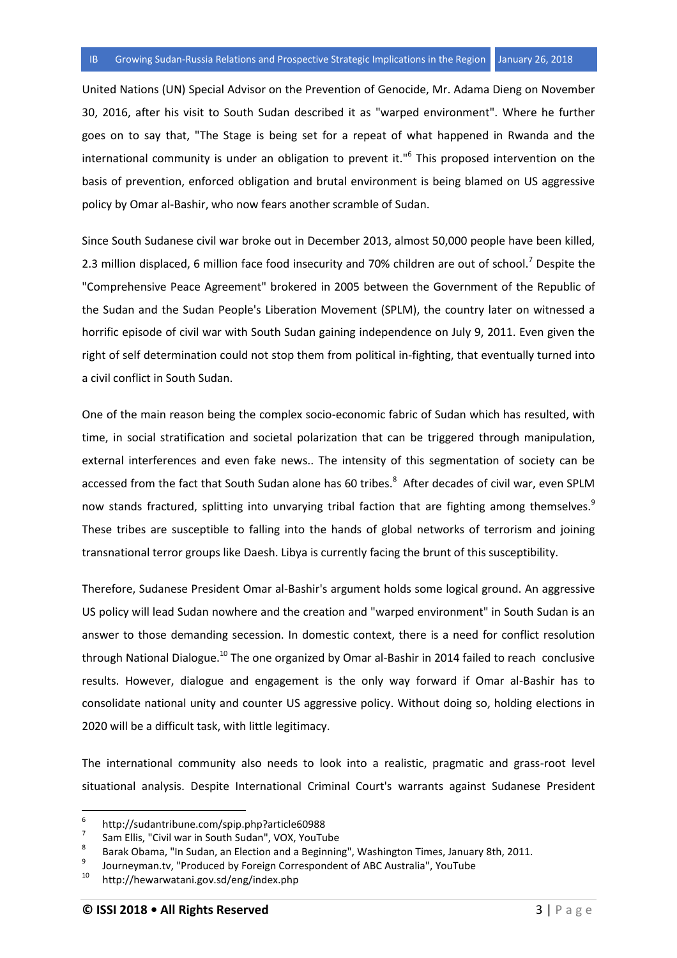United Nations (UN) Special Advisor on the Prevention of Genocide, Mr. Adama Dieng on November 30, 2016, after his visit to South Sudan described it as "warped environment". Where he further goes on to say that, "The Stage is being set for a repeat of what happened in Rwanda and the international community is under an obligation to prevent it."<sup>6</sup> This proposed intervention on the basis of prevention, enforced obligation and brutal environment is being blamed on US aggressive policy by Omar al-Bashir, who now fears another scramble of Sudan.

Since South Sudanese civil war broke out in December 2013, almost 50,000 people have been killed, 2.3 million displaced, 6 million face food insecurity and 70% children are out of school.<sup>7</sup> Despite the "Comprehensive Peace Agreement" brokered in 2005 between the Government of the Republic of the Sudan and the Sudan People's Liberation Movement (SPLM), the country later on witnessed a horrific episode of civil war with South Sudan gaining independence on July 9, 2011. Even given the right of self determination could not stop them from political in-fighting, that eventually turned into a civil conflict in South Sudan.

One of the main reason being the complex socio-economic fabric of Sudan which has resulted, with time, in social stratification and societal polarization that can be triggered through manipulation, external interferences and even fake news.. The intensity of this segmentation of society can be accessed from the fact that South Sudan alone has 60 tribes.<sup>8</sup> After decades of civil war, even SPLM now stands fractured, splitting into unvarying tribal faction that are fighting among themselves.<sup>9</sup> These tribes are susceptible to falling into the hands of global networks of terrorism and joining transnational terror groups like Daesh. Libya is currently facing the brunt of this susceptibility.

Therefore, Sudanese President Omar al-Bashir's argument holds some logical ground. An aggressive US policy will lead Sudan nowhere and the creation and "warped environment" in South Sudan is an answer to those demanding secession. In domestic context, there is a need for conflict resolution through National Dialogue.<sup>10</sup> The one organized by Omar al-Bashir in 2014 failed to reach conclusive results. However, dialogue and engagement is the only way forward if Omar al-Bashir has to consolidate national unity and counter US aggressive policy. Without doing so, holding elections in 2020 will be a difficult task, with little legitimacy.

The international community also needs to look into a realistic, pragmatic and grass-root level situational analysis. Despite International Criminal Court's warrants against Sudanese President

l

<sup>6</sup> http://sudantribune.com/spip.php?article60988

<sup>7</sup> Sam Ellis, "Civil war in South Sudan", VOX, YouTube

<sup>8</sup> Barak Obama, "In Sudan, an Election and a Beginning", Washington Times, January 8th, 2011.

<sup>9</sup> Journeyman.tv, "Produced by Foreign Correspondent of ABC Australia", YouTube

<sup>10</sup> http://hewarwatani.gov.sd/eng/index.php